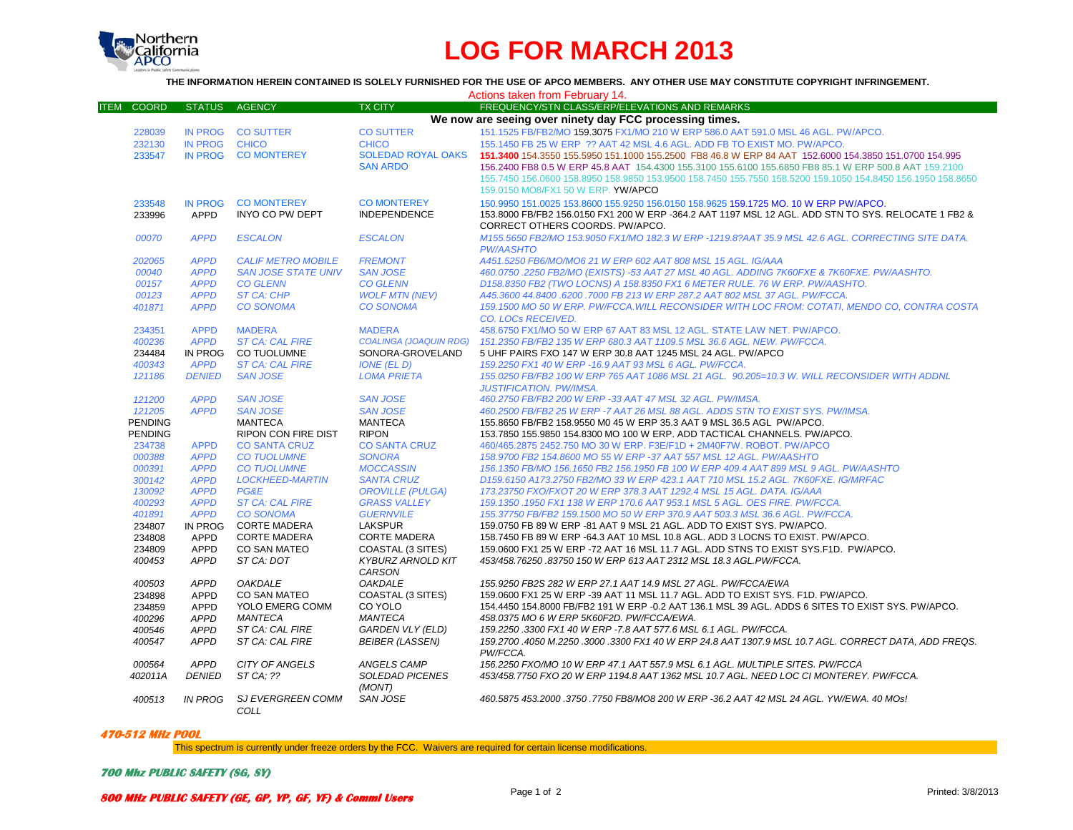

## **LOG FOR MARCH 2013**

## **THE INFORMATION HEREIN CONTAINED IS SOLELY FURNISHED FOR THE USE OF APCO MEMBERS. ANY OTHER USE MAY CONSTITUTE COPYRIGHT INFRINGEMENT.**

| Actions taken from February 14. |                |                                |                               |                                                                                                             |
|---------------------------------|----------------|--------------------------------|-------------------------------|-------------------------------------------------------------------------------------------------------------|
| <b>COORD</b><br><b>ITEM</b>     | <b>STATUS</b>  | <b>AGENCY</b>                  | <b>TX CITY</b>                | FREQUENCY/STN CLASS/ERP/ELEVATIONS AND REMARKS                                                              |
|                                 |                |                                |                               | We now are seeing over ninety day FCC processing times.                                                     |
| 228039                          | IN PROG        | <b>CO SUTTER</b>               | <b>CO SUTTER</b>              | 151.1525 FB/FB2/MO 159.3075 FX1/MO 210 W ERP 586.0 AAT 591.0 MSL 46 AGL, PW/APCO.                           |
| 232130                          | <b>IN PROG</b> | <b>CHICO</b>                   | <b>CHICO</b>                  | 155.1450 FB 25 W ERP ?? AAT 42 MSL 4.6 AGL, ADD FB TO EXIST MO, PW/APCO.                                    |
| 233547                          | <b>IN PROG</b> | <b>CO MONTEREY</b>             | <b>SOLEDAD ROYAL OAKS</b>     | 151.3400 154.3550 155.5950 151.1000 155.2500 FB8 46.8 W ERP 84 AAT 152.6000 154.3850 151.0700 154.995       |
|                                 |                |                                | <b>SAN ARDO</b>               | 156.2400 FB8 0.5 W ERP 45.8 AAT 154.4300 155.3100 155.6100 155.6850 FB8 85.1 W ERP 500.8 AAT 159.2100       |
|                                 |                |                                |                               | 155.7450 156.0600 158.8950 158.9850 153.9500 158.7450 155.7550 158.5200 159.1050 154.8450 156.1950 158.8650 |
|                                 |                |                                |                               | 159.0150 MO8/FX1 50 W ERP. YW/APCO                                                                          |
|                                 |                |                                |                               |                                                                                                             |
| 233548                          | <b>IN PROG</b> | <b>CO MONTEREY</b>             | <b>CO MONTEREY</b>            | 150,9950 151,0025 153,8600 155,9250 156,0150 158,9625 159,1725 MO, 10 W ERP PW/APCO,                        |
| 233996                          | <b>APPD</b>    | INYO CO PW DEPT                | <b>INDEPENDENCE</b>           | 153.8000 FB/FB2 156.0150 FX1 200 W ERP -364.2 AAT 1197 MSL 12 AGL. ADD STN TO SYS. RELOCATE 1 FB2 &         |
|                                 |                |                                |                               | CORRECT OTHERS COORDS. PW/APCO.                                                                             |
| 00070                           | <b>APPD</b>    | <b>ESCALON</b>                 | <b>ESCALON</b>                | M155.5650 FB2/MO 153.9050 FX1/MO 182.3 W ERP -1219.8?AAT 35.9 MSL 42.6 AGL. CORRECTING SITE DATA.           |
|                                 |                |                                |                               | <b>PW/AASHTO</b>                                                                                            |
| 202065                          | <b>APPD</b>    | <b>CALIF METRO MOBILE</b>      | <b>FREMONT</b>                | A451.5250 FB6/MO/MO6 21 W ERP 602 AAT 808 MSL 15 AGL. IG/AAA                                                |
| 00040                           | <b>APPD</b>    | <b>SAN JOSE STATE UNIV</b>     | <b>SAN JOSE</b>               | 460.0750 .2250 FB2/MO (EXISTS) -53 AAT 27 MSL 40 AGL. ADDING 7K60FXE & 7K60FXE. PW/AASHTO.                  |
| 00157                           | <b>APPD</b>    | <b>CO GLENN</b>                | <b>CO GLENN</b>               | D158.8350 FB2 (TWO LOCNS) A 158.8350 FX1 6 METER RULE. 76 W ERP. PW/AASHTO.                                 |
| 00123                           | <b>APPD</b>    | <b>ST CA: CHP</b>              | <b>WOLF MTN (NEV)</b>         | A45.3600 44.8400 .6200 .7000 FB 213 W ERP 287.2 AAT 802 MSL 37 AGL. PW/FCCA.                                |
| 401871                          | <b>APPD</b>    | <b>CO SONOMA</b>               | <b>CO SONOMA</b>              | 159.1500 MO 50 W ERP. PW/FCCA.WILL RECONSIDER WITH LOC FROM: COTATI, MENDO CO, CONTRA COSTA                 |
|                                 |                |                                |                               | <b>CO. LOCS RECEIVED.</b>                                                                                   |
| 234351                          | <b>APPD</b>    | <b>MADERA</b>                  | <b>MADERA</b>                 | 458,6750 FX1/MO 50 W ERP 67 AAT 83 MSL 12 AGL. STATE LAW NET, PW/APCO.                                      |
| 400236                          | <b>APPD</b>    | <b>ST CA: CAL FIRE</b>         | <b>COALINGA (JOAQUIN RDG)</b> | 151.2350 FB/FB2 135 W ERP 680.3 AAT 1109.5 MSL 36.6 AGL. NEW. PW/FCCA.                                      |
| 234484                          | IN PROG        | CO TUOLUMNE                    | SONORA-GROVELAND              | 5 UHF PAIRS FXO 147 W ERP 30.8 AAT 1245 MSL 24 AGL. PW/APCO                                                 |
| 400343                          | <b>APPD</b>    | <b>ST CA: CAL FIRE</b>         | <b>IONE (EL D)</b>            | 159.2250 FX1 40 W ERP - 16.9 AAT 93 MSL 6 AGL, PW/FCCA.                                                     |
| 121186                          | <b>DENIED</b>  | <b>SAN JOSE</b>                | <b>LOMA PRIETA</b>            | 155.0250 FB/FB2 100 W ERP 765 AAT 1086 MSL 21 AGL. 90.205=10.3 W. WILL RECONSIDER WITH ADDNL                |
|                                 |                |                                |                               | <b>JUSTIFICATION. PW/IMSA.</b>                                                                              |
| 121200                          | <b>APPD</b>    | <b>SAN JOSE</b>                | <b>SAN JOSE</b>               | 460.2750 FB/FB2 200 W ERP -33 AAT 47 MSL 32 AGL. PW/IMSA.                                                   |
| 121205                          | <b>APPD</b>    | <b>SAN JOSE</b>                | <b>SAN JOSE</b>               | 460.2500 FB/FB2 25 W ERP -7 AAT 26 MSL 88 AGL. ADDS STN TO EXIST SYS. PW/IMSA.                              |
| <b>PENDING</b>                  |                | MANTECA                        | <b>MANTECA</b>                | 155.8650 FB/FB2 158.9550 M0 45 W ERP 35.3 AAT 9 MSL 36.5 AGL PW/APCO.                                       |
| <b>PENDING</b>                  |                | <b>RIPON CON FIRE DIST</b>     | <b>RIPON</b>                  | 153.7850 155.9850 154.8300 MO 100 W ERP. ADD TACTICAL CHANNELS, PW/APCO.                                    |
| 234738                          | <b>APPD</b>    | <b>CO SANTA CRUZ</b>           | <b>CO SANTA CRUZ</b>          | 460/465.2875 2452.750 MO 30 W ERP. F3E/F1D + 2M40F7W, ROBOT, PW/APCO                                        |
| 000388                          | <b>APPD</b>    | <b>CO TUOLUMNE</b>             | <b>SONORA</b>                 | 158.9700 FB2 154.8600 MO 55 W ERP -37 AAT 557 MSL 12 AGL. PW/AASHTO                                         |
| 000391                          | <b>APPD</b>    | <b>CO TUOLUMNE</b>             | <b>MOCCASSIN</b>              | 156.1350 FB/MO 156.1650 FB2 156.1950 FB 100 W ERP 409.4 AAT 899 MSL 9 AGL. PW/AASHTO                        |
|                                 |                |                                |                               |                                                                                                             |
| 300142                          | <b>APPD</b>    | <b>LOCKHEED-MARTIN</b><br>PG&E | <b>SANTA CRUZ</b>             | D159.6150 A173.2750 FB2/MO 33 W ERP 423.1 AAT 710 MSL 15.2 AGL, 7K60FXE, IG/MRFAC                           |
| 130092                          | <b>APPD</b>    |                                | <b>OROVILLE (PULGA)</b>       | 173.23750 FXO/FXOT 20 W ERP 378.3 AAT 1292.4 MSL 15 AGL. DATA. IG/AAA                                       |
| 400293                          | <b>APPD</b>    | <b>ST CA: CAL FIRE</b>         | <b>GRASS VALLEY</b>           | 159.1350 .1950 FX1 138 W ERP 170.6 AAT 953.1 MSL 5 AGL, OES FIRE, PW/FCCA,                                  |
| 401891                          | <b>APPD</b>    | <b>CO SONOMA</b>               | <b>GUERNVILE</b>              | 155.37750 FB/FB2 159.1500 MO 50 W ERP 370.9 AAT 503.3 MSL 36.6 AGL. PW/FCCA.                                |
| 234807                          | IN PROG        | <b>CORTE MADERA</b>            | LAKSPUR                       | 159.0750 FB 89 W ERP -81 AAT 9 MSL 21 AGL. ADD TO EXIST SYS. PW/APCO.                                       |
| 234808                          | APPD           | <b>CORTE MADERA</b>            | <b>CORTE MADERA</b>           | 158.7450 FB 89 W ERP -64.3 AAT 10 MSL 10.8 AGL. ADD 3 LOCNS TO EXIST. PW/APCO.                              |
| 234809                          | APPD           | <b>CO SAN MATEO</b>            | COASTAL (3 SITES)             | 159.0600 FX1 25 W ERP -72 AAT 16 MSL 11.7 AGL. ADD STNS TO EXIST SYS.F1D. PW/APCO.                          |
| 400453                          | <b>APPD</b>    | ST CA: DOT                     | <b>KYBURZ ARNOLD KIT</b>      | 453/458.76250.83750 150 W ERP 613 AAT 2312 MSL 18.3 AGL.PW/FCCA.                                            |
|                                 |                |                                | CARSON                        |                                                                                                             |
| 400503                          | <b>APPD</b>    | <b>OAKDALE</b>                 | <b>OAKDALE</b>                | 155.9250 FB2S 282 W ERP 27.1 AAT 14.9 MSL 27 AGL. PW/FCCA/EWA                                               |
| 234898                          | <b>APPD</b>    | <b>CO SAN MATEO</b>            | COASTAL (3 SITES)             | 159.0600 FX1 25 W ERP -39 AAT 11 MSL 11.7 AGL. ADD TO EXIST SYS. F1D. PW/APCO.                              |
| 234859                          | <b>APPD</b>    | YOLO EMERG COMM                | CO YOLO                       | 154,4450 154,8000 FB/FB2 191 W ERP -0.2 AAT 136.1 MSL 39 AGL, ADDS 6 SITES TO EXIST SYS, PW/APCO,           |
| 400296                          | <b>APPD</b>    | <b>MANTECA</b>                 | <b>MANTECA</b>                | 458.0375 MO 6 W ERP 5K60F2D. PW/FCCA/EWA.                                                                   |
| 400546                          | <b>APPD</b>    | ST CA: CAL FIRE                | <b>GARDEN VLY (ELD)</b>       | 159.2250 .3300 FX1 40 W ERP -7.8 AAT 577.6 MSL 6.1 AGL. PW/FCCA.                                            |
| 400547                          | <b>APPD</b>    | ST CA: CAL FIRE                | <b>BEIBER (LASSEN)</b>        | 159.2700 .4050 M.2250 .3000 .3300 FX1 40 W ERP 24.8 AAT 1307.9 MSL 10.7 AGL. CORRECT DATA, ADD FREQS.       |
|                                 |                |                                |                               | PW/FCCA.                                                                                                    |
| 000564                          | <b>APPD</b>    | CITY OF ANGELS                 | ANGELS CAMP                   | 156.2250 FXO/MO 10 W ERP 47.1 AAT 557.9 MSL 6.1 AGL. MULTIPLE SITES. PW/FCCA                                |
| 402011A                         | <b>DENIED</b>  | ST CA: ??                      | <b>SOLEDAD PICENES</b>        | 453/458.7750 FXO 20 W ERP 1194.8 AAT 1362 MSL 10.7 AGL. NEED LOC CI MONTEREY. PW/FCCA.                      |
|                                 |                |                                | (MONT)                        |                                                                                                             |
| 400513                          | <b>IN PROG</b> | SJ EVERGREEN COMM              | SAN JOSE                      | 460.5875 453.2000 .3750 .7750 FB8/MO8 200 W ERP -36.2 AAT 42 MSL 24 AGL. YW/EWA. 40 MOs!                    |
|                                 |                | COLL                           |                               |                                                                                                             |
|                                 |                |                                |                               |                                                                                                             |

## **470-512 MHz POOL**

This spectrum is currently under freeze orders by the FCC. Waivers are required for certain license modifications.

**700 Mhz PUBLIC SAFETY (SG, SY)**